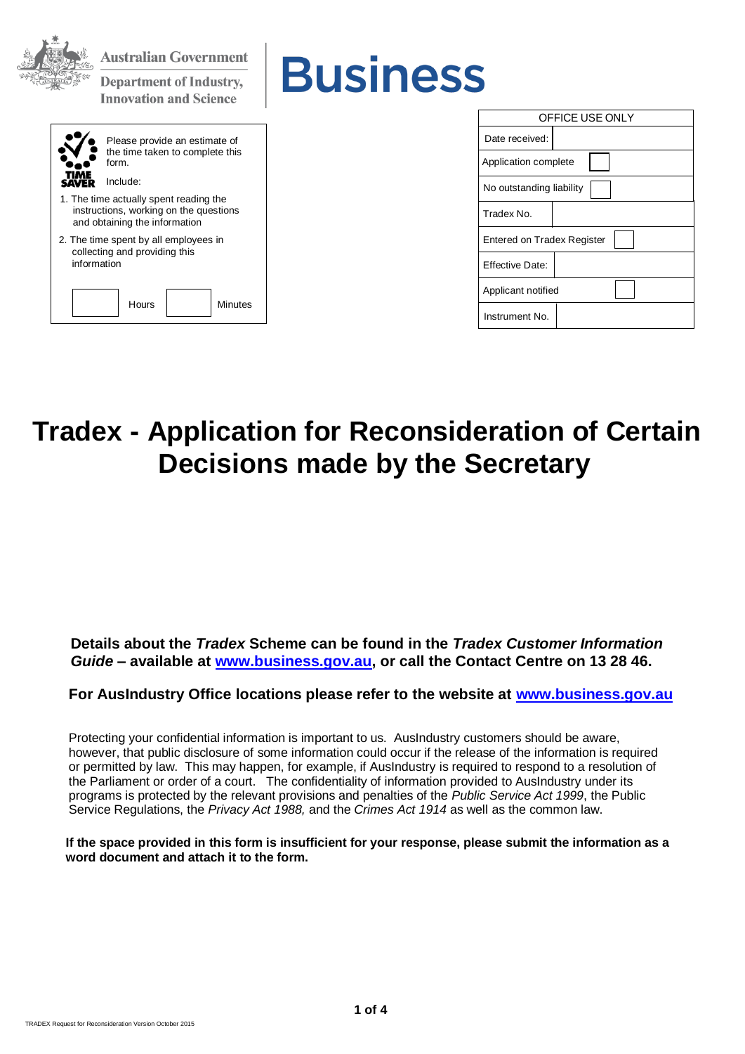| <b>Australian Government</b><br><b>Business</b><br><b>Department of Industry,</b><br><b>Innovation and Science</b> |                                   |
|--------------------------------------------------------------------------------------------------------------------|-----------------------------------|
|                                                                                                                    | OFFICE USE ONLY                   |
| Please provide an estimate of                                                                                      | Date received:                    |
| the time taken to complete this<br>form.                                                                           | Application complete              |
| Include:<br><b>SAVER</b>                                                                                           | No outstanding liability          |
| 1. The time actually spent reading the<br>instructions, working on the questions<br>and obtaining the information  | Tradex No.                        |
| 2. The time spent by all employees in                                                                              | <b>Entered on Tradex Register</b> |
| collecting and providing this<br>information                                                                       | <b>Effective Date:</b>            |
|                                                                                                                    | Applicant notified                |
| Hours<br><b>Minutes</b>                                                                                            | Instrument No.                    |

# **Tradex - Application for Reconsideration of Certain Decisions made by the Secretary**

**Details about the** *Tradex* **Scheme can be found in the** *Tradex Customer Information Guide* **– available at [www.business.gov.au,](http://www.business.gov.au/) or call the Contact Centre on 13 28 46.**

**For AusIndustry Office locations please refer to the website at [www.business.gov.au](http://www.business.gov.au/)**

Protecting your confidential information is important to us. AusIndustry customers should be aware, however, that public disclosure of some information could occur if the release of the information is required or permitted by law. This may happen, for example, if AusIndustry is required to respond to a resolution of the Parliament or order of a court. The confidentiality of information provided to AusIndustry under its programs is protected by the relevant provisions and penalties of the *Public Service Act 1999*, the Public Service Regulations, the *Privacy Act 1988,* and the *Crimes Act 1914* as well as the common law.

**If the space provided in this form is insufficient for your response, please submit the information as a word document and attach it to the form.**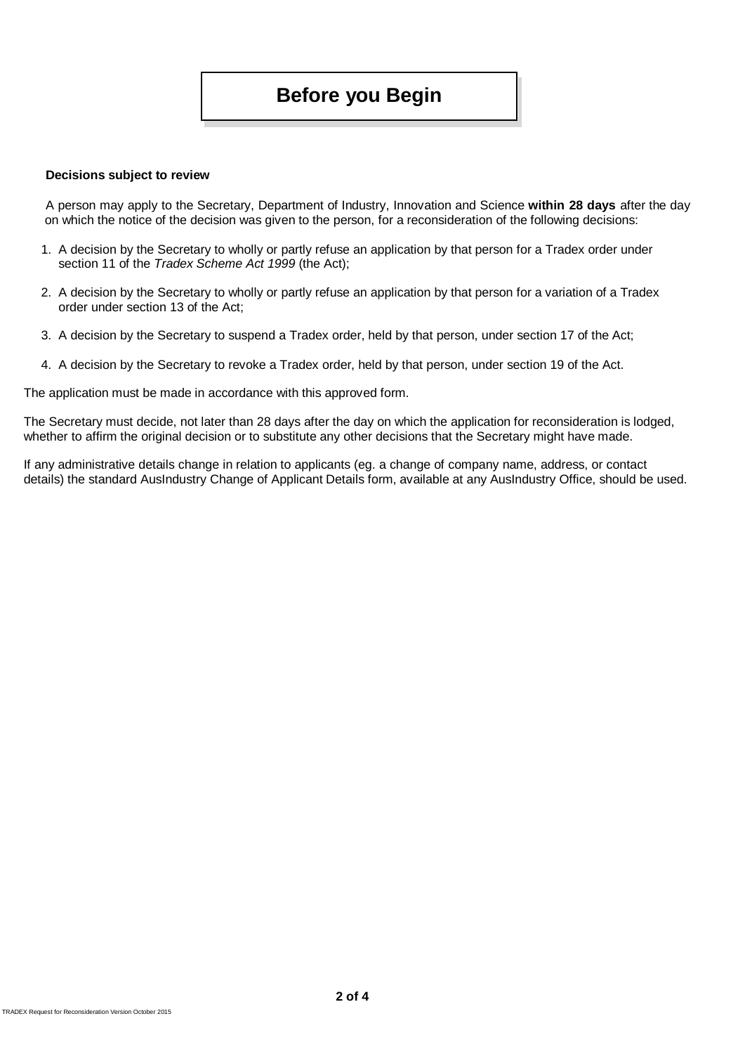### **Before you Begin**

#### **Decisions subject to review**

A person may apply to the Secretary, Department of Industry, Innovation and Science **within 28 days** after the day on which the notice of the decision was given to the person, for a reconsideration of the following decisions:

- 1. A decision by the Secretary to wholly or partly refuse an application by that person for a Tradex order under section 11 of the *Tradex Scheme Act 1999* (the Act);
- 2. A decision by the Secretary to wholly or partly refuse an application by that person for a variation of a Tradex order under section 13 of the Act;
- 3. A decision by the Secretary to suspend a Tradex order, held by that person, under section 17 of the Act;
- 4. A decision by the Secretary to revoke a Tradex order, held by that person, under section 19 of the Act.

The application must be made in accordance with this approved form.

The Secretary must decide, not later than 28 days after the day on which the application for reconsideration is lodged, whether to affirm the original decision or to substitute any other decisions that the Secretary might have made.

If any administrative details change in relation to applicants (eg. a change of company name, address, or contact details) the standard AusIndustry Change of Applicant Details form, available at any AusIndustry Office, should be used.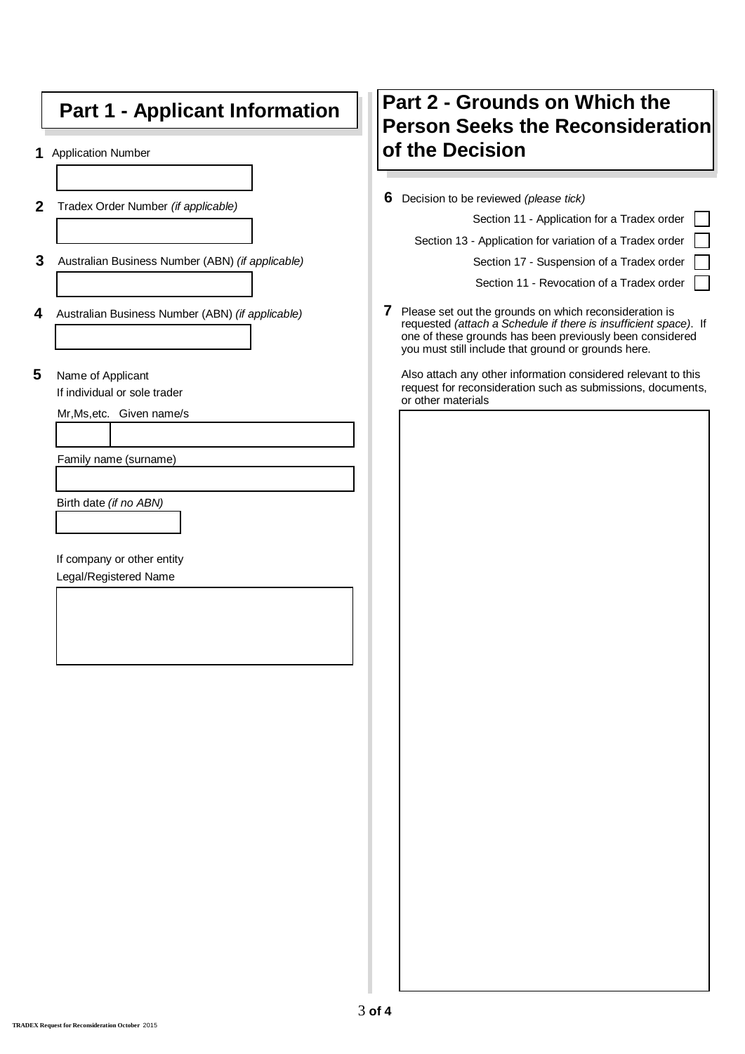# **Part 1 - Applicant Information**

**1** Application Number

- **2** Tradex Order Number *(if applicable)*
- **3** Australian Business Number (ABN) *(if applicable)*
- **4** Australian Business Number (ABN) *(if applicable)*
- **5** Name of Applicant

If individual or sole trader

Mr,Ms,etc. Given name/s

Family name (surname)

Birth date *(if no ABN)*

If company or other entity

Legal/Registered Name

## **Part 2 - Grounds on Which the Person Seeks the Reconsideration of the Decision**

**6** Decision to be reviewed *(please tick)*

Section 11 - Application for a Tradex order

Section 13 - Application for variation of a Tradex order

Section 17 - Suspension of a Tradex order

Section 11 - Revocation of a Tradex order

**7** Please set out the grounds on which reconsideration is requested *(attach a Schedule if there is insufficient space)*. If one of these grounds has been previously been considered you must still include that ground or grounds here.

Also attach any other information considered relevant to this request for reconsideration such as submissions, documents, or other materials